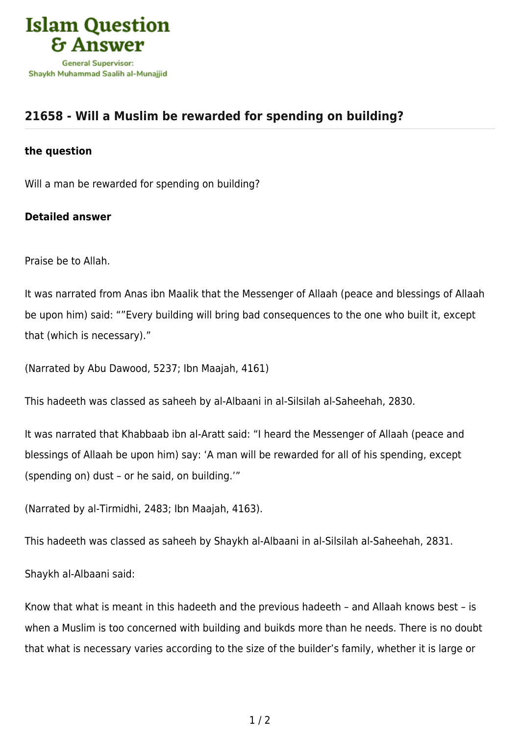

## **[21658 - Will a Muslim be rewarded for spending on building?](https://islamqa.com/en/answers/21658/will-a-muslim-be-rewarded-for-spending-on-building)**

## **the question**

Will a man be rewarded for spending on building?

## **Detailed answer**

Praise be to Allah.

It was narrated from Anas ibn Maalik that the Messenger of Allaah (peace and blessings of Allaah be upon him) said: ""Every building will bring bad consequences to the one who built it, except that (which is necessary)."

(Narrated by Abu Dawood, 5237; Ibn Maajah, 4161)

This hadeeth was classed as saheeh by al-Albaani in al-Silsilah al-Saheehah, 2830.

It was narrated that Khabbaab ibn al-Aratt said: "I heard the Messenger of Allaah (peace and blessings of Allaah be upon him) say: 'A man will be rewarded for all of his spending, except (spending on) dust – or he said, on building.'"

(Narrated by al-Tirmidhi, 2483; Ibn Maajah, 4163).

This hadeeth was classed as saheeh by Shaykh al-Albaani in al-Silsilah al-Saheehah, 2831.

Shaykh al-Albaani said:

Know that what is meant in this hadeeth and the previous hadeeth – and Allaah knows best – is when a Muslim is too concerned with building and buikds more than he needs. There is no doubt that what is necessary varies according to the size of the builder's family, whether it is large or